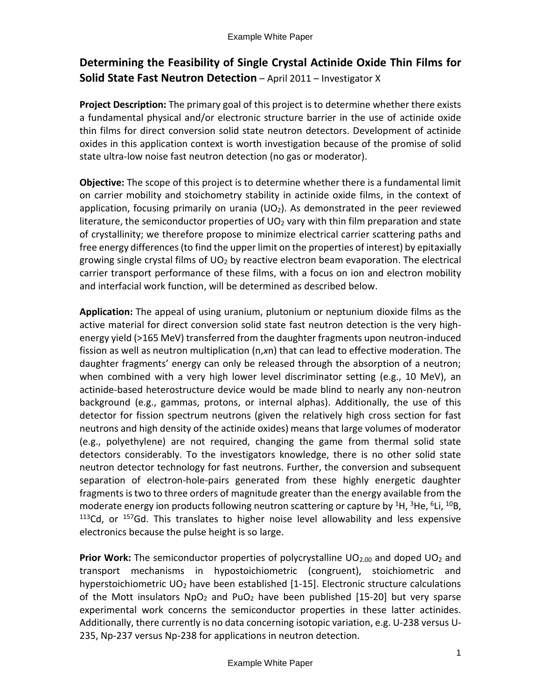## **Determining the Feasibility of Single Crystal Actinide Oxide Thin Films for Solid State Fast Neutron Detection** – April 2011 – Investigator X

**Project Description:** The primary goal of this project is to determine whether there exists a fundamental physical and/or electronic structure barrier in the use of actinide oxide thin films for direct conversion solid state neutron detectors. Development of actinide oxides in this application context is worth investigation because of the promise of solid state ultra-low noise fast neutron detection (no gas or moderator).

**Objective:** The scope of this project is to determine whether there is a fundamental limit on carrier mobility and stoichometry stability in actinide oxide films, in the context of application, focusing primarily on urania ( $UO<sub>2</sub>$ ). As demonstrated in the peer reviewed literature, the semiconductor properties of  $UO<sub>2</sub>$  vary with thin film preparation and state of crystallinity; we therefore propose to minimize electrical carrier scattering paths and free energy differences (to find the upper limit on the properties of interest) by epitaxially growing single crystal films of  $UO<sub>2</sub>$  by reactive electron beam evaporation. The electrical carrier transport performance of these films, with a focus on ion and electron mobility and interfacial work function, will be determined as described below.

**Application:** The appeal of using uranium, plutonium or neptunium dioxide films as the active material for direct conversion solid state fast neutron detection is the very highenergy yield (>165 MeV) transferred from the daughter fragments upon neutron-induced fission as well as neutron multiplication (n,*x*n) that can lead to effective moderation. The daughter fragments' energy can only be released through the absorption of a neutron; when combined with a very high lower level discriminator setting (e.g., 10 MeV), an actinide-based heterostructure device would be made blind to nearly any non-neutron background (e.g., gammas, protons, or internal alphas). Additionally, the use of this detector for fission spectrum neutrons (given the relatively high cross section for fast neutrons and high density of the actinide oxides) means that large volumes of moderator (e.g., polyethylene) are not required, changing the game from thermal solid state detectors considerably. To the investigators knowledge, there is no other solid state neutron detector technology for fast neutrons. Further, the conversion and subsequent separation of electron-hole-pairs generated from these highly energetic daughter fragments is two to three orders of magnitude greater than the energy available from the moderate energy ion products following neutron scattering or capture by <sup>1</sup>H, <sup>3</sup>He, <sup>6</sup>Li, <sup>10</sup>B,  $113$ Cd, or  $157$ Gd. This translates to higher noise level allowability and less expensive electronics because the pulse height is so large.

**Prior Work:** The semiconductor properties of polycrystalline UO<sub>2.00</sub> and doped UO<sub>2</sub> and transport mechanisms in hypostoichiometric (congruent), stoichiometric and hyperstoichiometric  $UO_2$  have been established  $[1-15]$ . Electronic structure calculations of the Mott insulators  $NpO<sub>2</sub>$  and PuO<sub>2</sub> have been published [15-20] but very sparse experimental work concerns the semiconductor properties in these latter actinides. Additionally, there currently is no data concerning isotopic variation, e.g. U-238 versus U-235, Np-237 versus Np-238 for applications in neutron detection.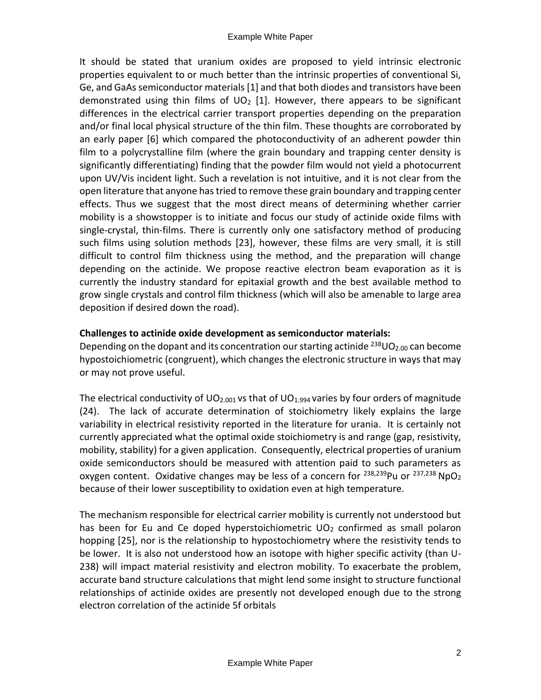It should be stated that uranium oxides are proposed to yield intrinsic electronic properties equivalent to or much better than the intrinsic properties of conventional Si, Ge, and GaAs semiconductor materials [1] and that both diodes and transistors have been demonstrated using thin films of  $UO<sub>2</sub>$  [1]. However, there appears to be significant differences in the electrical carrier transport properties depending on the preparation and/or final local physical structure of the thin film. These thoughts are corroborated by an early paper [6] which compared the photoconductivity of an adherent powder thin film to a polycrystalline film (where the grain boundary and trapping center density is significantly differentiating) finding that the powder film would not yield a photocurrent upon UV/Vis incident light. Such a revelation is not intuitive, and it is not clear from the open literature that anyone has tried to remove these grain boundary and trapping center effects. Thus we suggest that the most direct means of determining whether carrier mobility is a showstopper is to initiate and focus our study of actinide oxide films with single-crystal, thin-films. There is currently only one satisfactory method of producing such films using solution methods [23], however, these films are very small, it is still difficult to control film thickness using the method, and the preparation will change depending on the actinide. We propose reactive electron beam evaporation as it is currently the industry standard for epitaxial growth and the best available method to grow single crystals and control film thickness (which will also be amenable to large area deposition if desired down the road).

## **Challenges to actinide oxide development as semiconductor materials:**

Depending on the dopant and its concentration our starting actinide  $^{238}$ UO<sub>2.00</sub> can become hypostoichiometric (congruent), which changes the electronic structure in ways that may or may not prove useful.

The electrical conductivity of  $UO_{2.001}$  vs that of  $UO_{1.994}$  varies by four orders of magnitude (24). The lack of accurate determination of stoichiometry likely explains the large variability in electrical resistivity reported in the literature for urania. It is certainly not currently appreciated what the optimal oxide stoichiometry is and range (gap, resistivity, mobility, stability) for a given application. Consequently, electrical properties of uranium oxide semiconductors should be measured with attention paid to such parameters as oxygen content. Oxidative changes may be less of a concern for  $^{238,239}$ Pu or  $^{237,238}$  NpO<sub>2</sub> because of their lower susceptibility to oxidation even at high temperature.

The mechanism responsible for electrical carrier mobility is currently not understood but has been for Eu and Ce doped hyperstoichiometric  $UO<sub>2</sub>$  confirmed as small polaron hopping [25], nor is the relationship to hypostochiometry where the resistivity tends to be lower. It is also not understood how an isotope with higher specific activity (than U-238) will impact material resistivity and electron mobility. To exacerbate the problem, accurate band structure calculations that might lend some insight to structure functional relationships of actinide oxides are presently not developed enough due to the strong electron correlation of the actinide 5f orbitals